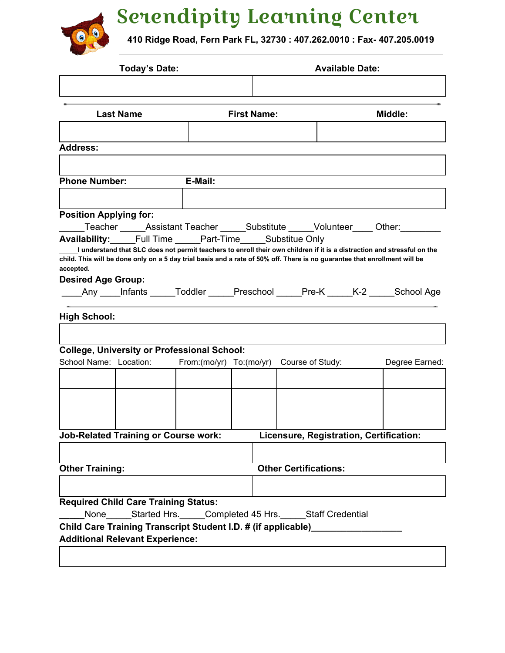

Serendipity Learning Center

**410 Ridge Road, Fern Park FL, 32730 : 407.262.0010 : Fax- 407.205.0019**

| <b>Today's Date:</b> |                                                                                                                                        |                                                                                                                                                 | <b>Available Date:</b>                             |  |                                                                                                                                                                                                                                                                                                                                                                                                                                                                                                                                                                                                                                                                                                                                                                         |  |
|----------------------|----------------------------------------------------------------------------------------------------------------------------------------|-------------------------------------------------------------------------------------------------------------------------------------------------|----------------------------------------------------|--|-------------------------------------------------------------------------------------------------------------------------------------------------------------------------------------------------------------------------------------------------------------------------------------------------------------------------------------------------------------------------------------------------------------------------------------------------------------------------------------------------------------------------------------------------------------------------------------------------------------------------------------------------------------------------------------------------------------------------------------------------------------------------|--|
| <b>Last Name</b>     |                                                                                                                                        | <b>First Name:</b>                                                                                                                              |                                                    |  | <b>Middle:</b>                                                                                                                                                                                                                                                                                                                                                                                                                                                                                                                                                                                                                                                                                                                                                          |  |
|                      |                                                                                                                                        |                                                                                                                                                 |                                                    |  |                                                                                                                                                                                                                                                                                                                                                                                                                                                                                                                                                                                                                                                                                                                                                                         |  |
|                      |                                                                                                                                        |                                                                                                                                                 |                                                    |  |                                                                                                                                                                                                                                                                                                                                                                                                                                                                                                                                                                                                                                                                                                                                                                         |  |
|                      |                                                                                                                                        |                                                                                                                                                 |                                                    |  |                                                                                                                                                                                                                                                                                                                                                                                                                                                                                                                                                                                                                                                                                                                                                                         |  |
|                      |                                                                                                                                        |                                                                                                                                                 |                                                    |  |                                                                                                                                                                                                                                                                                                                                                                                                                                                                                                                                                                                                                                                                                                                                                                         |  |
|                      |                                                                                                                                        |                                                                                                                                                 |                                                    |  |                                                                                                                                                                                                                                                                                                                                                                                                                                                                                                                                                                                                                                                                                                                                                                         |  |
|                      |                                                                                                                                        |                                                                                                                                                 |                                                    |  | Degree Earned:                                                                                                                                                                                                                                                                                                                                                                                                                                                                                                                                                                                                                                                                                                                                                          |  |
|                      |                                                                                                                                        |                                                                                                                                                 |                                                    |  |                                                                                                                                                                                                                                                                                                                                                                                                                                                                                                                                                                                                                                                                                                                                                                         |  |
|                      |                                                                                                                                        |                                                                                                                                                 |                                                    |  |                                                                                                                                                                                                                                                                                                                                                                                                                                                                                                                                                                                                                                                                                                                                                                         |  |
|                      |                                                                                                                                        |                                                                                                                                                 |                                                    |  |                                                                                                                                                                                                                                                                                                                                                                                                                                                                                                                                                                                                                                                                                                                                                                         |  |
|                      |                                                                                                                                        |                                                                                                                                                 |                                                    |  |                                                                                                                                                                                                                                                                                                                                                                                                                                                                                                                                                                                                                                                                                                                                                                         |  |
|                      |                                                                                                                                        |                                                                                                                                                 |                                                    |  |                                                                                                                                                                                                                                                                                                                                                                                                                                                                                                                                                                                                                                                                                                                                                                         |  |
| <b>High School:</b>  | <b>Phone Number:</b><br><b>Position Applying for:</b><br><b>Desired Age Group:</b><br>School Name: Location:<br><b>Other Training:</b> | E-Mail:<br><b>Job-Related Training or Course work:</b><br><b>Required Child Care Training Status:</b><br><b>Additional Relevant Experience:</b> | <b>College, University or Professional School:</b> |  | Teacher ______Assistant Teacher ______Substitute _____Volunteer _____Other: ________<br><b>Availability:</b> Full Time Part-Time Substitue Only<br>I understand that SLC does not permit teachers to enroll their own children if it is a distraction and stressful on the<br>child. This will be done only on a 5 day trial basis and a rate of 50% off. There is no guarantee that enrollment will be<br>_____Any _____Infants ______Toddler ______Preschool ______Pre-K ______K-2 _____School Age<br>From:(mo/yr) To:(mo/yr) Course of Study:<br>Licensure, Registration, Certification:<br><b>Other Certifications:</b><br>None Started Hrs. Completed 45 Hrs. Staff Credential<br>Child Care Training Transcript Student I.D. # (if applicable)___________________ |  |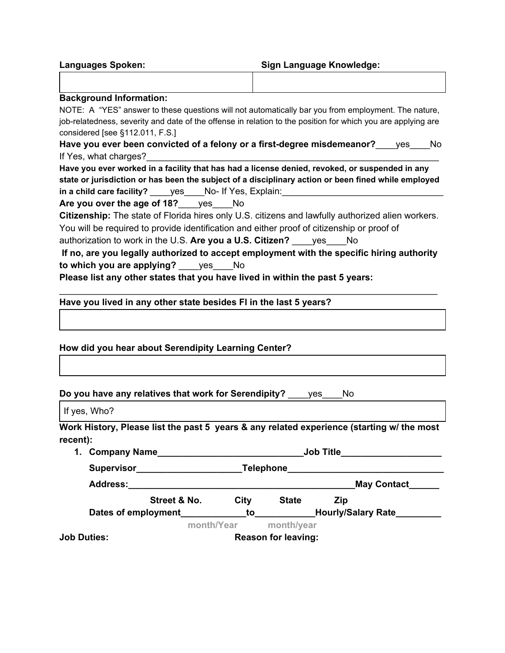| <b>Languages Spoken:</b> | <b>Sign Language Knowledge:</b> |
|--------------------------|---------------------------------|
|                          |                                 |

## **Background Information:**

NOTE: A "YES" answer to these questions will not automatically bar you from employment. The nature, job-relatedness, severity and date of the offense in relation to the position for which you are applying are considered [see §112.011, F.S.]

**Have you ever been convicted of a felony or a first-degree misdemeanor?**\_\_\_\_yes\_\_\_\_No If Yes, what charges?

**Have you ever worked in a facility that has had a license denied, revoked, or suspended in any state or jurisdiction or has been the subject of a disciplinary action or been fined while employed** in a child care facility? \_\_\_\_\_yes\_\_\_\_No- If Yes, Explain:

**Are you over the age of 18?**\_\_\_\_yes\_\_\_\_No

**Citizenship:** The state of Florida hires only U.S. citizens and lawfully authorized alien workers. You will be required to provide identification and either proof of citizenship or proof of

authorization to work in the U.S. **Are you a U.S. Citizen?** \_\_\_\_yes\_\_\_\_No

|                            |            | If no, are you legally authorized to accept employment with the specific hiring authority |
|----------------------------|------------|-------------------------------------------------------------------------------------------|
| to which you are applying? | <b>ves</b> |                                                                                           |

\_\_\_\_\_\_\_\_\_\_\_\_\_\_\_\_\_\_\_\_\_\_\_\_\_\_\_\_\_\_\_\_\_\_\_\_\_\_\_\_\_\_\_\_\_\_\_\_\_\_\_\_\_\_\_\_\_\_\_\_\_\_\_\_\_\_\_\_\_\_\_\_\_\_\_

**Please list any other states that you have lived in within the past 5 years:**

**Have you lived in any other state besides Fl in the last 5 years?**

**How did you hear about Serendipity Learning Center?**

**Do you have any relatives that work for Serendipity?** \_\_\_\_yes\_\_\_\_No

If yes, Who?

**Work History, Please list the past 5 years & any related experience (starting w/ the most recent):**

| <b>Company Name</b><br>1. |                            |      | <b>Job Title</b> |                           |  |  |
|---------------------------|----------------------------|------|------------------|---------------------------|--|--|
| <b>Supervisor</b>         |                            |      | Telephone        |                           |  |  |
| <b>Address:</b>           |                            |      |                  | <b>May Contact</b>        |  |  |
|                           | Street & No.               | City | <b>State</b>     | Zip                       |  |  |
| Dates of employment       |                            | to   |                  | <b>Hourly/Salary Rate</b> |  |  |
|                           | month/Year                 |      | month/year       |                           |  |  |
| <b>Job Duties:</b>        | <b>Reason for leaving:</b> |      |                  |                           |  |  |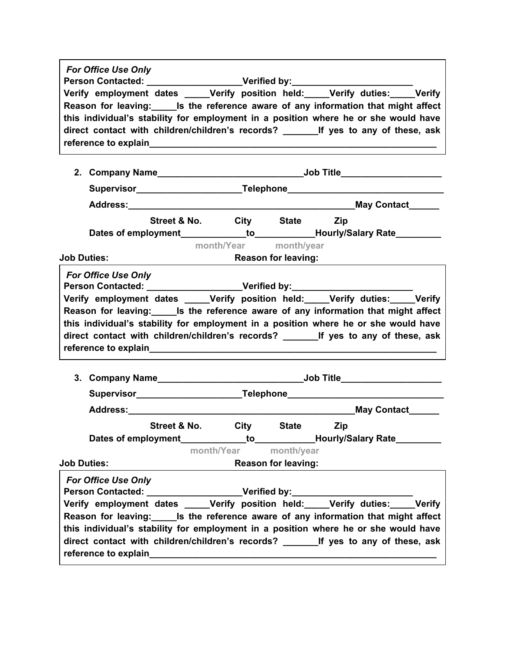| <b>For Office Use Only</b><br>Person Contacted: _____________________Verified by: ____________________________<br>Verify employment dates ____Verify position held: ____Verify duties: ____Verify<br>Reason for leaving: Is the reference aware of any information that might affect<br>this individual's stability for employment in a position where he or she would have<br>direct contact with children/children's records? ________ If yes to any of these, ask                                                                                                                             |                       |                            |                                                                                   |  |  |  |
|--------------------------------------------------------------------------------------------------------------------------------------------------------------------------------------------------------------------------------------------------------------------------------------------------------------------------------------------------------------------------------------------------------------------------------------------------------------------------------------------------------------------------------------------------------------------------------------------------|-----------------------|----------------------------|-----------------------------------------------------------------------------------|--|--|--|
|                                                                                                                                                                                                                                                                                                                                                                                                                                                                                                                                                                                                  |                       |                            |                                                                                   |  |  |  |
|                                                                                                                                                                                                                                                                                                                                                                                                                                                                                                                                                                                                  |                       |                            | Supervisor______________________________Telephone_______________________________  |  |  |  |
|                                                                                                                                                                                                                                                                                                                                                                                                                                                                                                                                                                                                  |                       |                            |                                                                                   |  |  |  |
| Street & No. City State Zip                                                                                                                                                                                                                                                                                                                                                                                                                                                                                                                                                                      |                       |                            |                                                                                   |  |  |  |
|                                                                                                                                                                                                                                                                                                                                                                                                                                                                                                                                                                                                  |                       |                            | Dates of employment_____________to_____________Hourly/Salary Rate_________        |  |  |  |
|                                                                                                                                                                                                                                                                                                                                                                                                                                                                                                                                                                                                  | month/Year month/year |                            |                                                                                   |  |  |  |
| <b>Job Duties:</b>                                                                                                                                                                                                                                                                                                                                                                                                                                                                                                                                                                               |                       | <b>Reason for leaving:</b> |                                                                                   |  |  |  |
| Person Contacted: ____________________Verified by:______________________________<br>Verify employment dates _____Verify position held:      ____Verify duties:      ____Verify<br>Reason for leaving:_______Is the reference aware of any information that might affect<br>this individual's stability for employment in a position where he or she would have<br>reference to explain the contract of the contract of the contract of the contract of the contract of the contract of the contract of the contract of the contract of the contract of the contract of the contract of the contr |                       |                            |                                                                                   |  |  |  |
|                                                                                                                                                                                                                                                                                                                                                                                                                                                                                                                                                                                                  |                       |                            |                                                                                   |  |  |  |
|                                                                                                                                                                                                                                                                                                                                                                                                                                                                                                                                                                                                  |                       |                            | Supervisor____________________________Telephone_________________________________  |  |  |  |
|                                                                                                                                                                                                                                                                                                                                                                                                                                                                                                                                                                                                  |                       |                            |                                                                                   |  |  |  |
| Street & No.                                                                                                                                                                                                                                                                                                                                                                                                                                                                                                                                                                                     | <b>City</b>           | <b>State</b>               | Zip<br>Dates of employment_____________to____________Hourly/Salary Rate__________ |  |  |  |
| <b>Job Duties:</b>                                                                                                                                                                                                                                                                                                                                                                                                                                                                                                                                                                               | month/Year month/year |                            |                                                                                   |  |  |  |
| <b>For Office Use Only</b><br>Person Contacted: __________________Verified by:________________________________<br>Verify employment dates _____Verify position held:_____Verify duties:_____Verify<br>Reason for leaving:<br>List the reference aware of any information that might affect<br>this individual's stability for employment in a position where he or she would have<br>direct contact with children/children's records? _________ If yes to any of these, ask<br>reference to explain and a series of the series of the series of the series of the series of the series of the    |                       | <b>Reason for leaving:</b> |                                                                                   |  |  |  |